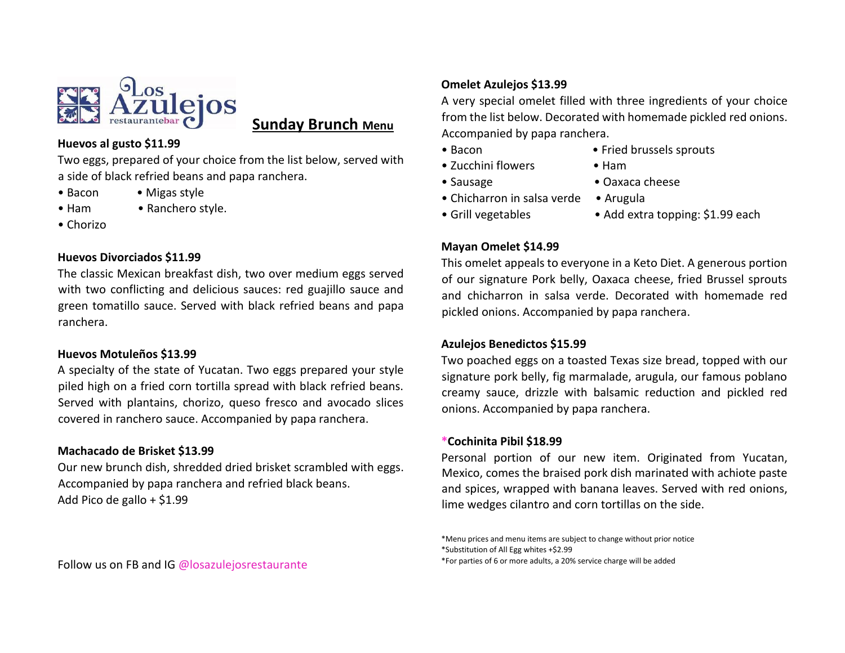

# **Sunday Brunch Menu**

#### **Huevos al gusto \$11.99**

Two eggs, prepared of your choice from the list below, served with a side of black refried beans and papa ranchera.

- 
- Bacon Migas style • Ham • Ranchero style.
- 
- Chorizo

## **Huevos Divorciados \$11.99**

The classic Mexican breakfast dish, two over medium eggs served with two conflicting and delicious sauces: red guajillo sauce and green tomatillo sauce. Served with black refried beans and papa ranchera.

# **Huevos Motuleños \$13.99**

A specialty of the state of Yucatan. Two eggs prepared your style piled high on a fried corn tortilla spread with black refried beans. Served with plantains, chorizo, queso fresco and avocado slices covered in ranchero sauce. Accompanied by papa ranchera.

# **Machacado de Brisket \$13.99**

Our new brunch dish, shredded dried brisket scrambled with eggs. Accompanied by papa ranchera and refried black beans. Add Pico de gallo + \$1.99

# **Omelet Azulejos \$13.99**

A very special omelet filled with three ingredients of your choice from the list below. Decorated with homemade pickled red onions. Accompanied by papa ranchera.

- 
- Bacon Fried brussels sprouts
- Zucchini flowers Ham
	-
- Sausage Oaxaca cheese
- Chicharron in salsa verde Arugula
- 
- Grill vegetables Add extra topping: \$1.99 each

# **Mayan Omelet \$14.99**

This omelet appeals to everyone in a Keto Diet. A generous portion of our signature Pork belly, Oaxaca cheese, fried Brussel sprouts and chicharron in salsa verde. Decorated with homemade red pickled onions. Accompanied by papa ranchera.

# **Azulejos Benedictos \$15.99**

Two poached eggs on a toasted Texas size bread, topped with our signature pork belly, fig marmalade, arugula, our famous poblano creamy sauce, drizzle with balsamic reduction and pickled red onions. Accompanied by papa ranchera.

### **\*Cochinita Pibil \$18.99**

Personal portion of our new item. Originated from Yucatan, Mexico, comes the braised pork dish marinated with achiote paste and spices, wrapped with banana leaves. Served with red onions, lime wedges cilantro and corn tortillas on the side.

\*Menu prices and menu items are subject to change without prior notice \*Substitution of All Egg whites +\$2.99 \*For parties of 6 or more adults, a 20% service charge will be added